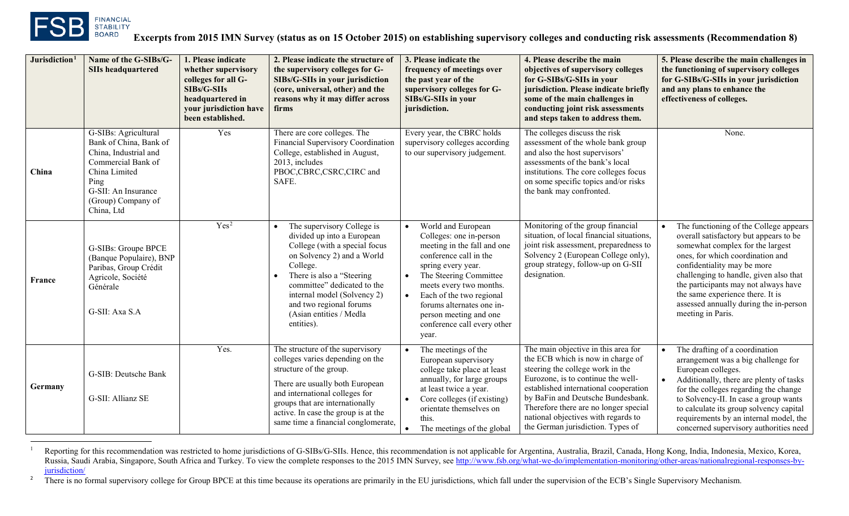<span id="page-0-1"></span><span id="page-0-0"></span>

l

| Jurisdiction <sup>1</sup> | Name of the G-SIBs/G-<br><b>SIIs headquartered</b>                                                                                                                                | 1. Please indicate<br>whether supervisory<br>colleges for all G-<br>SIBs/G-SIIs<br>headquartered in<br>your jurisdiction have<br>been established. | 2. Please indicate the structure of<br>the supervisory colleges for G-<br>SIBs/G-SIIs in your jurisdiction<br>(core, universal, other) and the<br>reasons why it may differ across<br>firms                                                                                                         | 3. Please indicate the<br>frequency of meetings over<br>the past year of the<br>supervisory colleges for G-<br>SIBs/G-SIIs in your<br>jurisdiction.                                                                                                                                                                                                 | 4. Please describe the main<br>objectives of supervisory colleges<br>for G-SIBs/G-SIIs in your<br>jurisdiction. Please indicate briefly<br>some of the main challenges in<br>conducting joint risk assessments<br>and steps taken to address them.                                                                                                    | 5. Please describe the main challenges in<br>the functioning of supervisory colleges<br>for G-SIBs/G-SIIs in your jurisdiction<br>and any plans to enhance the<br>effectiveness of colleges.                                                                                                                                                                                              |
|---------------------------|-----------------------------------------------------------------------------------------------------------------------------------------------------------------------------------|----------------------------------------------------------------------------------------------------------------------------------------------------|-----------------------------------------------------------------------------------------------------------------------------------------------------------------------------------------------------------------------------------------------------------------------------------------------------|-----------------------------------------------------------------------------------------------------------------------------------------------------------------------------------------------------------------------------------------------------------------------------------------------------------------------------------------------------|-------------------------------------------------------------------------------------------------------------------------------------------------------------------------------------------------------------------------------------------------------------------------------------------------------------------------------------------------------|-------------------------------------------------------------------------------------------------------------------------------------------------------------------------------------------------------------------------------------------------------------------------------------------------------------------------------------------------------------------------------------------|
| China                     | G-SIBs: Agricultural<br>Bank of China, Bank of<br>China, Industrial and<br>Commercial Bank of<br>China Limited<br>Ping<br>G-SII: An Insurance<br>(Group) Company of<br>China, Ltd | Yes                                                                                                                                                | There are core colleges. The<br>Financial Supervisory Coordination<br>College, established in August,<br>2013, includes<br>PBOC,CBRC,CSRC,CIRC and<br>SAFE.                                                                                                                                         | Every year, the CBRC holds<br>supervisory colleges according<br>to our supervisory judgement.                                                                                                                                                                                                                                                       | The colleges discuss the risk<br>assessment of the whole bank group<br>and also the host supervisors'<br>assessments of the bank's local<br>institutions. The core colleges focus<br>on some specific topics and/or risks<br>the bank may confronted.                                                                                                 | None.                                                                                                                                                                                                                                                                                                                                                                                     |
| France                    | G-SIBs: Groupe BPCE<br>(Banque Populaire), BNP<br>Paribas, Group Crédit<br>Agricole, Société<br>Générale<br>G-SII: Axa S.A                                                        | Yes <sup>2</sup>                                                                                                                                   | The supervisory College is<br>divided up into a European<br>College (with a special focus<br>on Solvency 2) and a World<br>College.<br>There is also a "Steering"<br>committee" dedicated to the<br>internal model (Solvency 2)<br>and two regional forums<br>(Asian entities / Medla<br>entities). | World and European<br>$\bullet$<br>Colleges: one in-person<br>meeting in the fall and one<br>conference call in the<br>spring every year.<br>The Steering Committee<br>$\bullet$<br>meets every two months.<br>Each of the two regional<br>$\bullet$<br>forums alternates one in-<br>person meeting and one<br>conference call every other<br>year. | Monitoring of the group financial<br>situation, of local financial situations,<br>joint risk assessment, preparedness to<br>Solvency 2 (European College only),<br>group strategy, follow-up on G-SII<br>designation.                                                                                                                                 | The functioning of the College appears<br>$\bullet$<br>overall satisfactory but appears to be<br>somewhat complex for the largest<br>ones, for which coordination and<br>confidentiality may be more<br>challenging to handle, given also that<br>the participants may not always have<br>the same experience there. It is<br>assessed annually during the in-person<br>meeting in Paris. |
| Germany                   | G-SIB: Deutsche Bank<br>G-SII: Allianz SE                                                                                                                                         | Yes.                                                                                                                                               | The structure of the supervisory<br>colleges varies depending on the<br>structure of the group.<br>There are usually both European<br>and international colleges for<br>groups that are internationally<br>active. In case the group is at the<br>same time a financial conglomerate,               | The meetings of the<br>European supervisory<br>college take place at least<br>annually, for large groups<br>at least twice a year.<br>Core colleges (if existing)<br>$\bullet$<br>orientate themselves on<br>this.<br>The meetings of the global                                                                                                    | The main objective in this area for<br>the ECB which is now in charge of<br>steering the college work in the<br>Eurozone, is to continue the well-<br>established international cooperation<br>by BaFin and Deutsche Bundesbank.<br>Therefore there are no longer special<br>national objectives with regards to<br>the German jurisdiction. Types of | The drafting of a coordination<br>arrangement was a big challenge for<br>European colleges.<br>Additionally, there are plenty of tasks<br>$\bullet$<br>for the colleges regarding the change<br>to Solvency-II. In case a group wants<br>to calculate its group solvency capital<br>requirements by an internal model, the<br>concerned supervisory authorities need                      |

<sup>&</sup>lt;sup>1</sup> Reporting for this recommendation was restricted to home jurisdictions of G-SIBs/G-SIIs. Hence, this recommendation is not applicable for Argentina, Australia, Brazil, Canada, Hong Kong, India, Indonesia, Mexico, Korea Russia, Saudi Arabia, Singapore, South Africa and Turkey. To view the complete responses to the 2015 IMN Survey, see [http://www.fsb.org/what-we-do/implementation-monitoring/other-areas/nationalregional-responses-by](http://www.fsb.org/what-we-do/implementation-monitoring/other-areas/nationalregional-responses-by-jurisdiction/)[jurisdiction/](http://www.fsb.org/what-we-do/implementation-monitoring/other-areas/nationalregional-responses-by-jurisdiction/)

<sup>&</sup>lt;sup>2</sup> There is no formal supervisory college for Group BPCE at this time because its operations are primarily in the EU jurisdictions, which fall under the supervision of the ECB's Single Supervisory Mechanism.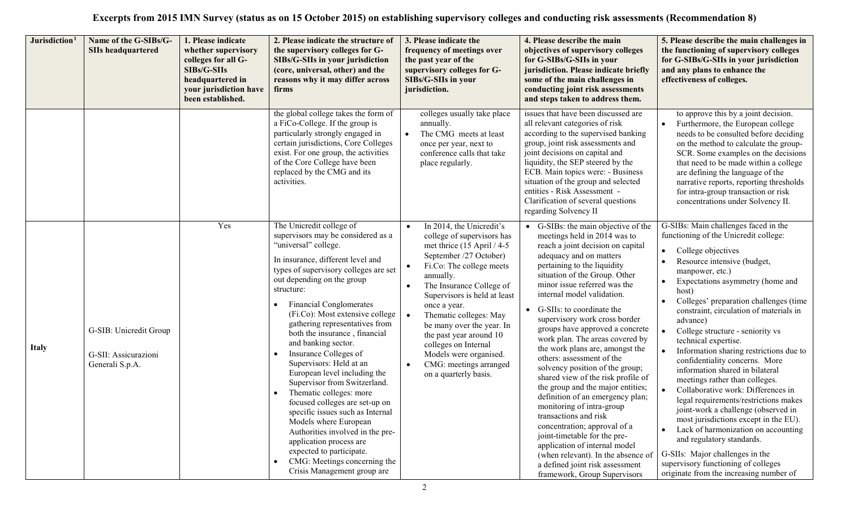|              | Jurisdiction <sup>1</sup><br>Name of the G-SIBs/G-<br><b>SIIs headquartered</b> | 1. Please indicate<br>whether supervisory<br>colleges for all G-<br>SIBs/G-SIIs<br>headquartered in<br>your jurisdiction have<br>been established. | 2. Please indicate the structure of<br>the supervisory colleges for G-<br>SIBs/G-SIIs in your jurisdiction<br>(core, universal, other) and the<br>reasons why it may differ across<br>firms                                                                                                                                                                                                                                                                                                                                                                                                                                                                                                                                                                                                          | 3. Please indicate the<br>frequency of meetings over<br>the past year of the<br>supervisory colleges for G-<br>SIBs/G-SIIs in your<br>jurisdiction.                                                                                                                                                                                                                                                                                                                                | 4. Please describe the main<br>objectives of supervisory colleges<br>for G-SIBs/G-SIIs in your<br>jurisdiction. Please indicate briefly<br>some of the main challenges in<br>conducting joint risk assessments<br>and steps taken to address them.                                                                                                                                                                                                                                                                                                                                                                                                                                                                                                                                                                                                                                        | 5. Please describe the main challenges in<br>the functioning of supervisory colleges<br>for G-SIBs/G-SIIs in your jurisdiction<br>and any plans to enhance the<br>effectiveness of colleges.                                                                                                                                                                                                                                                                                                                                                                                                                                                                                                                                                                                                                                                                                           |
|--------------|---------------------------------------------------------------------------------|----------------------------------------------------------------------------------------------------------------------------------------------------|------------------------------------------------------------------------------------------------------------------------------------------------------------------------------------------------------------------------------------------------------------------------------------------------------------------------------------------------------------------------------------------------------------------------------------------------------------------------------------------------------------------------------------------------------------------------------------------------------------------------------------------------------------------------------------------------------------------------------------------------------------------------------------------------------|------------------------------------------------------------------------------------------------------------------------------------------------------------------------------------------------------------------------------------------------------------------------------------------------------------------------------------------------------------------------------------------------------------------------------------------------------------------------------------|-------------------------------------------------------------------------------------------------------------------------------------------------------------------------------------------------------------------------------------------------------------------------------------------------------------------------------------------------------------------------------------------------------------------------------------------------------------------------------------------------------------------------------------------------------------------------------------------------------------------------------------------------------------------------------------------------------------------------------------------------------------------------------------------------------------------------------------------------------------------------------------------|----------------------------------------------------------------------------------------------------------------------------------------------------------------------------------------------------------------------------------------------------------------------------------------------------------------------------------------------------------------------------------------------------------------------------------------------------------------------------------------------------------------------------------------------------------------------------------------------------------------------------------------------------------------------------------------------------------------------------------------------------------------------------------------------------------------------------------------------------------------------------------------|
|              |                                                                                 |                                                                                                                                                    | the global college takes the form of<br>a FiCo-College. If the group is<br>particularly strongly engaged in<br>certain jurisdictions, Core Colleges<br>exist. For one group, the activities<br>of the Core College have been<br>replaced by the CMG and its<br>activities.                                                                                                                                                                                                                                                                                                                                                                                                                                                                                                                           | colleges usually take place<br>annually.<br>The CMG meets at least<br>$\bullet$<br>once per year, next to<br>conference calls that take<br>place regularly.                                                                                                                                                                                                                                                                                                                        | issues that have been discussed are<br>all relevant categories of risk<br>according to the supervised banking<br>group, joint risk assessments and<br>joint decisions on capital and<br>liquidity, the SEP steered by the<br>ECB. Main topics were: - Business<br>situation of the group and selected<br>entities - Risk Assessment -<br>Clarification of several questions<br>regarding Solvency II                                                                                                                                                                                                                                                                                                                                                                                                                                                                                      | to approve this by a joint decision.<br>Furthermore, the European college<br>needs to be consulted before deciding<br>on the method to calculate the group-<br>SCR. Some examples on the decisions<br>that need to be made within a college<br>are defining the language of the<br>narrative reports, reporting thresholds<br>for intra-group transaction or risk<br>concentrations under Solvency II.                                                                                                                                                                                                                                                                                                                                                                                                                                                                                 |
| <b>Italy</b> | G-SIB: Unicredit Group<br>G-SII: Assicurazioni<br>Generali S.p.A.               | Yes                                                                                                                                                | The Unicredit college of<br>supervisors may be considered as a<br>"universal" college.<br>In insurance, different level and<br>types of supervisory colleges are set<br>out depending on the group<br>structure:<br><b>Financial Conglomerates</b><br>(Fi.Co): Most extensive college<br>gathering representatives from<br>both the insurance, financial<br>and banking sector.<br>Insurance Colleges of<br>Supervisors: Held at an<br>European level including the<br>Supervisor from Switzerland.<br>Thematic colleges: more<br>focused colleges are set-up on<br>specific issues such as Internal<br>Models where European<br>Authorities involved in the pre-<br>application process are<br>expected to participate.<br>CMG: Meetings concerning the<br>$\bullet$<br>Crisis Management group are | In 2014, the Unicredit's<br>college of supervisors has<br>met thrice $(15$ April $/ 4-5$<br>September /27 October)<br>Fi.Co: The college meets<br>$\bullet$<br>annually.<br>The Insurance College of<br>$\bullet$<br>Supervisors is held at least<br>once a year.<br>Thematic colleges: May<br>$\bullet$<br>be many over the year. In<br>the past year around 10<br>colleges on Internal<br>Models were organised.<br>CMG: meetings arranged<br>$\bullet$<br>on a quarterly basis. | • G-SIBs: the main objective of the<br>meetings held in 2014 was to<br>reach a joint decision on capital<br>adequacy and on matters<br>pertaining to the liquidity<br>situation of the Group. Other<br>minor issue referred was the<br>internal model validation.<br>• G-SIIs: to coordinate the<br>supervisory work cross border<br>groups have approved a concrete<br>work plan. The areas covered by<br>the work plans are, amongst the<br>others: assessment of the<br>solvency position of the group;<br>shared view of the risk profile of<br>the group and the major entities;<br>definition of an emergency plan;<br>monitoring of intra-group<br>transactions and risk<br>concentration; approval of a<br>joint-timetable for the pre-<br>application of internal model<br>(when relevant). In the absence of<br>a defined joint risk assessment<br>framework, Group Supervisors | G-SIBs: Main challenges faced in the<br>functioning of the Unicredit college:<br>College objectives<br>Resource intensive (budget,<br>manpower, etc.)<br>Expectations asymmetry (home and<br>$\bullet$<br>host)<br>Colleges' preparation challenges (time<br>constraint, circulation of materials in<br>advance)<br>College structure - seniority vs<br>technical expertise.<br>Information sharing restrictions due to<br>confidentiality concerns. More<br>information shared in bilateral<br>meetings rather than colleges.<br>Collaborative work: Differences in<br>legal requirements/restrictions makes<br>joint-work a challenge (observed in<br>most jurisdictions except in the EU).<br>Lack of harmonization on accounting<br>and regulatory standards.<br>G-SIIs: Major challenges in the<br>supervisory functioning of colleges<br>originate from the increasing number of |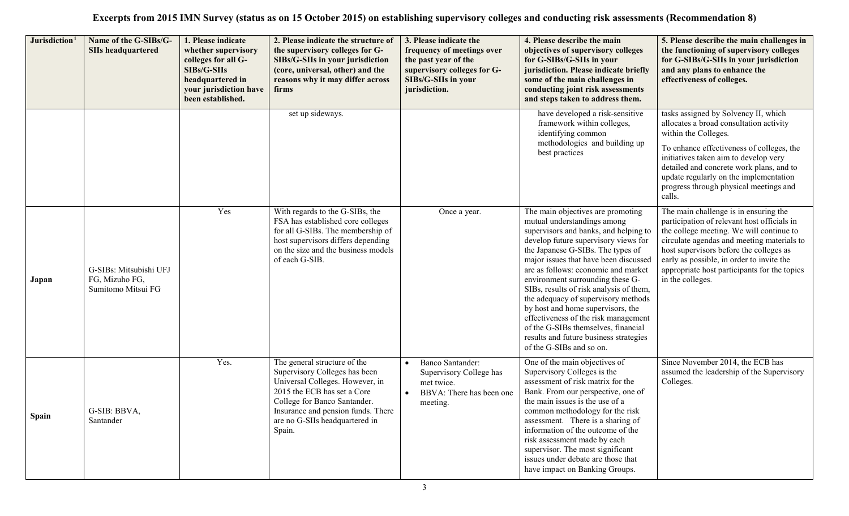| Jurisdiction <sup>1</sup> | Name of the G-SIBs/G-<br><b>SIIs headquartered</b>             | 1. Please indicate<br>whether supervisory<br>colleges for all G-<br>SIBs/G-SIIs<br>headquartered in<br>your jurisdiction have<br>been established. | 2. Please indicate the structure of<br>the supervisory colleges for G-<br>SIBs/G-SIIs in your jurisdiction<br>(core, universal, other) and the<br>reasons why it may differ across<br>firms                                                       | 3. Please indicate the<br>frequency of meetings over<br>the past year of the<br>supervisory colleges for G-<br>SIBs/G-SIIs in your<br>jurisdiction. | 4. Please describe the main<br>objectives of supervisory colleges<br>for G-SIBs/G-SIIs in your<br>jurisdiction. Please indicate briefly<br>some of the main challenges in<br>conducting joint risk assessments<br>and steps taken to address them.                                                                                                                                                                                                                                                                                                                                     | 5. Please describe the main challenges in<br>the functioning of supervisory colleges<br>for G-SIBs/G-SIIs in your jurisdiction<br>and any plans to enhance the<br>effectiveness of colleges.                                                                                                                                               |
|---------------------------|----------------------------------------------------------------|----------------------------------------------------------------------------------------------------------------------------------------------------|---------------------------------------------------------------------------------------------------------------------------------------------------------------------------------------------------------------------------------------------------|-----------------------------------------------------------------------------------------------------------------------------------------------------|----------------------------------------------------------------------------------------------------------------------------------------------------------------------------------------------------------------------------------------------------------------------------------------------------------------------------------------------------------------------------------------------------------------------------------------------------------------------------------------------------------------------------------------------------------------------------------------|--------------------------------------------------------------------------------------------------------------------------------------------------------------------------------------------------------------------------------------------------------------------------------------------------------------------------------------------|
|                           |                                                                |                                                                                                                                                    | set up sideways.                                                                                                                                                                                                                                  |                                                                                                                                                     | have developed a risk-sensitive<br>framework within colleges,<br>identifying common<br>methodologies and building up<br>best practices                                                                                                                                                                                                                                                                                                                                                                                                                                                 | tasks assigned by Solvency II, which<br>allocates a broad consultation activity<br>within the Colleges.<br>To enhance effectiveness of colleges, the<br>initiatives taken aim to develop very<br>detailed and concrete work plans, and to<br>update regularly on the implementation<br>progress through physical meetings and<br>calls.    |
| Japan                     | G-SIBs: Mitsubishi UFJ<br>FG, Mizuho FG,<br>Sumitomo Mitsui FG | Yes                                                                                                                                                | With regards to the G-SIBs, the<br>FSA has established core colleges<br>for all G-SIBs. The membership of<br>host supervisors differs depending<br>on the size and the business models<br>of each G-SIB.                                          | Once a year.                                                                                                                                        | The main objectives are promoting<br>mutual understandings among<br>supervisors and banks, and helping to<br>develop future supervisory views for<br>the Japanese G-SIBs. The types of<br>major issues that have been discussed<br>are as follows: economic and market<br>environment surrounding these G-<br>SIBs, results of risk analysis of them,<br>the adequacy of supervisory methods<br>by host and home supervisors, the<br>effectiveness of the risk management<br>of the G-SIBs themselves, financial<br>results and future business strategies<br>of the G-SIBs and so on. | The main challenge is in ensuring the<br>participation of relevant host officials in<br>the college meeting. We will continue to<br>circulate agendas and meeting materials to<br>host supervisors before the colleges as<br>early as possible, in order to invite the<br>appropriate host participants for the topics<br>in the colleges. |
| <b>Spain</b>              | G-SIB: BBVA,<br>Santander                                      | Yes.                                                                                                                                               | The general structure of the<br>Supervisory Colleges has been<br>Universal Colleges. However, in<br>2015 the ECB has set a Core<br>College for Banco Santander.<br>Insurance and pension funds. There<br>are no G-SIIs headquartered in<br>Spain. | Banco Santander:<br>$\bullet$<br>Supervisory College has<br>met twice.<br>BBVA: There has been one<br>meeting.                                      | One of the main objectives of<br>Supervisory Colleges is the<br>assessment of risk matrix for the<br>Bank. From our perspective, one of<br>the main issues is the use of a<br>common methodology for the risk<br>assessment. There is a sharing of<br>information of the outcome of the<br>risk assessment made by each<br>supervisor. The most significant<br>issues under debate are those that<br>have impact on Banking Groups.                                                                                                                                                    | Since November 2014, the ECB has<br>assumed the leadership of the Supervisory<br>Colleges.                                                                                                                                                                                                                                                 |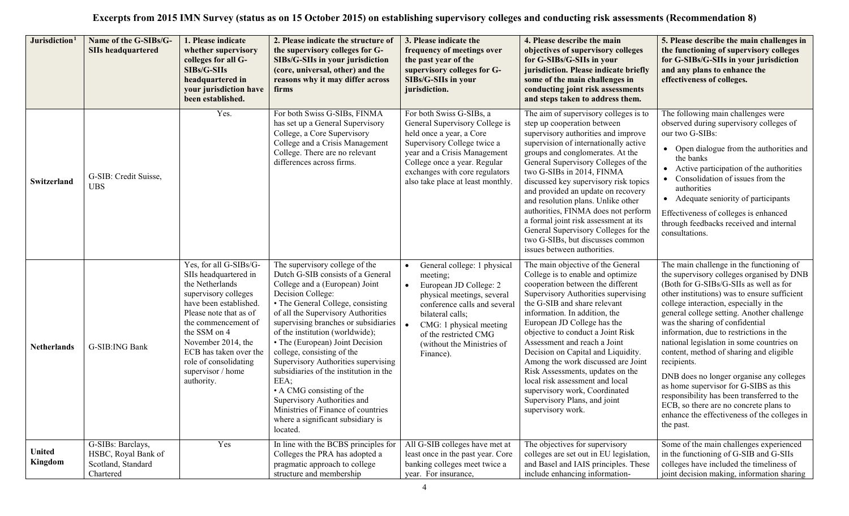| Jurisdiction <sup>1</sup> | Name of the G-SIBs/G-<br><b>SIIs headquartered</b>                          | 1. Please indicate<br>whether supervisory<br>colleges for all G-<br>SIBs/G-SIIs<br>headquartered in<br>your jurisdiction have<br>been established.                                                                                                                                                | 2. Please indicate the structure of<br>the supervisory colleges for G-<br>SIBs/G-SIIs in your jurisdiction<br>(core, universal, other) and the<br>reasons why it may differ across<br>firms                                                                                                                                                                                                                                                                                                                                                                                                   | 3. Please indicate the<br>frequency of meetings over<br>the past year of the<br>supervisory colleges for G-<br>SIBs/G-SIIs in your<br>jurisdiction.                                                                                                                                       | 4. Please describe the main<br>objectives of supervisory colleges<br>for G-SIBs/G-SIIs in your<br>jurisdiction. Please indicate briefly<br>some of the main challenges in<br>conducting joint risk assessments<br>and steps taken to address them.                                                                                                                                                                                                                                                                                                                           | 5. Please describe the main challenges in<br>the functioning of supervisory colleges<br>for G-SIBs/G-SIIs in your jurisdiction<br>and any plans to enhance the<br>effectiveness of colleges.                                                                                                                                                                                                                                                                                                                                                                                                                                                                                                           |
|---------------------------|-----------------------------------------------------------------------------|---------------------------------------------------------------------------------------------------------------------------------------------------------------------------------------------------------------------------------------------------------------------------------------------------|-----------------------------------------------------------------------------------------------------------------------------------------------------------------------------------------------------------------------------------------------------------------------------------------------------------------------------------------------------------------------------------------------------------------------------------------------------------------------------------------------------------------------------------------------------------------------------------------------|-------------------------------------------------------------------------------------------------------------------------------------------------------------------------------------------------------------------------------------------------------------------------------------------|------------------------------------------------------------------------------------------------------------------------------------------------------------------------------------------------------------------------------------------------------------------------------------------------------------------------------------------------------------------------------------------------------------------------------------------------------------------------------------------------------------------------------------------------------------------------------|--------------------------------------------------------------------------------------------------------------------------------------------------------------------------------------------------------------------------------------------------------------------------------------------------------------------------------------------------------------------------------------------------------------------------------------------------------------------------------------------------------------------------------------------------------------------------------------------------------------------------------------------------------------------------------------------------------|
| Switzerland               | G-SIB: Credit Suisse,<br><b>UBS</b>                                         | Yes.                                                                                                                                                                                                                                                                                              | For both Swiss G-SIBs, FINMA<br>has set up a General Supervisory<br>College, a Core Supervisory<br>College and a Crisis Management<br>College. There are no relevant<br>differences across firms.                                                                                                                                                                                                                                                                                                                                                                                             | For both Swiss G-SIBs, a<br>General Supervisory College is<br>held once a year, a Core<br>Supervisory College twice a<br>year and a Crisis Management<br>College once a year. Regular<br>exchanges with core regulators<br>also take place at least monthly.                              | The aim of supervisory colleges is to<br>step up cooperation between<br>supervisory authorities and improve<br>supervision of internationally active<br>groups and conglomerates. At the<br>General Supervisory Colleges of the<br>two G-SIBs in 2014, FINMA<br>discussed key supervisory risk topics<br>and provided an update on recovery<br>and resolution plans. Unlike other<br>authorities, FINMA does not perform<br>a formal joint risk assessment at its<br>General Supervisory Colleges for the<br>two G-SIBs, but discusses common<br>issues between authorities. | The following main challenges were<br>observed during supervisory colleges of<br>our two G-SIBs:<br>• Open dialogue from the authorities and<br>the banks<br>• Active participation of the authorities<br>• Consolidation of issues from the<br>authorities<br>• Adequate seniority of participants<br>Effectiveness of colleges is enhanced<br>through feedbacks received and internal<br>consultations.                                                                                                                                                                                                                                                                                              |
| <b>Netherlands</b>        | G-SIB:ING Bank                                                              | Yes, for all G-SIBs/G-<br>SIIs headquartered in<br>the Netherlands<br>supervisory colleges<br>have been established.<br>Please note that as of<br>the commencement of<br>the SSM on 4<br>November 2014, the<br>ECB has taken over the<br>role of consolidating<br>supervisor / home<br>authority. | The supervisory college of the<br>Dutch G-SIB consists of a General<br>College and a (European) Joint<br>Decision College:<br>• The General College, consisting<br>of all the Supervisory Authorities<br>supervising branches or subsidiaries<br>of the institution (worldwide);<br>• The (European) Joint Decision<br>college, consisting of the<br>Supervisory Authorities supervising<br>subsidiaries of the institution in the<br>EEA;<br>• A CMG consisting of the<br>Supervisory Authorities and<br>Ministries of Finance of countries<br>where a significant subsidiary is<br>located. | General college: 1 physical<br>$\bullet$<br>meeting;<br>European JD College: 2<br>$\bullet$<br>physical meetings, several<br>conference calls and several<br>bilateral calls;<br>CMG: 1 physical meeting<br>$\bullet$<br>of the restricted CMG<br>(without the Ministries of<br>Finance). | The main objective of the General<br>College is to enable and optimize<br>cooperation between the different<br>Supervisory Authorities supervising<br>the G-SIB and share relevant<br>information. In addition, the<br>European JD College has the<br>objective to conduct a Joint Risk<br>Assessment and reach a Joint<br>Decision on Capital and Liquidity.<br>Among the work discussed are Joint<br>Risk Assessments, updates on the<br>local risk assessment and local<br>supervisory work, Coordinated<br>Supervisory Plans, and joint<br>supervisory work.             | The main challenge in the functioning of<br>the supervisory colleges organised by DNB<br>(Both for G-SIBs/G-SIIs as well as for<br>other institutions) was to ensure sufficient<br>college interaction, especially in the<br>general college setting. Another challenge<br>was the sharing of confidential<br>information, due to restrictions in the<br>national legislation in some countries on<br>content, method of sharing and eligible<br>recipients.<br>DNB does no longer organise any colleges<br>as home supervisor for G-SIBS as this<br>responsibility has been transferred to the<br>ECB, so there are no concrete plans to<br>enhance the effectiveness of the colleges in<br>the past. |
| <b>United</b><br>Kingdom  | G-SIBs: Barclays,<br>HSBC, Royal Bank of<br>Scotland, Standard<br>Chartered | Yes                                                                                                                                                                                                                                                                                               | In line with the BCBS principles for<br>Colleges the PRA has adopted a<br>pragmatic approach to college<br>structure and membership                                                                                                                                                                                                                                                                                                                                                                                                                                                           | All G-SIB colleges have met at<br>least once in the past year. Core<br>banking colleges meet twice a<br>year. For insurance,                                                                                                                                                              | The objectives for supervisory<br>colleges are set out in EU legislation,<br>and Basel and IAIS principles. These<br>include enhancing information-                                                                                                                                                                                                                                                                                                                                                                                                                          | Some of the main challenges experienced<br>in the functioning of G-SIB and G-SIIs<br>colleges have included the timeliness of<br>joint decision making, information sharing                                                                                                                                                                                                                                                                                                                                                                                                                                                                                                                            |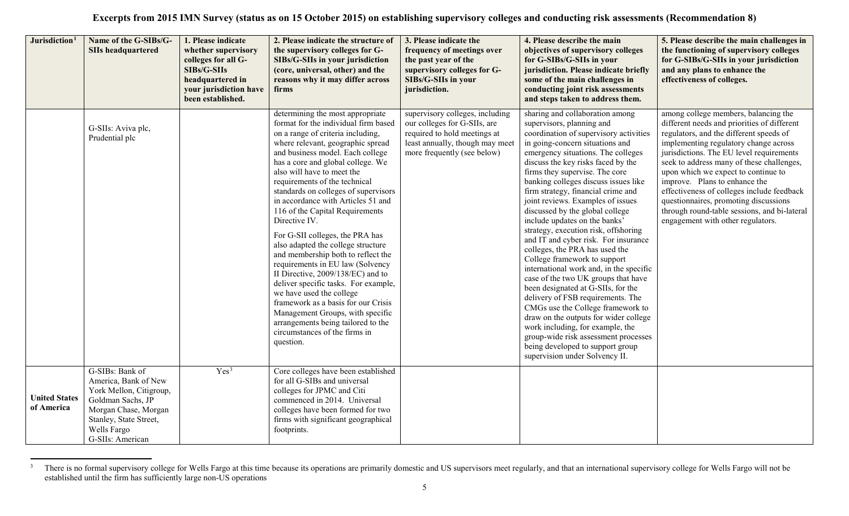<span id="page-4-0"></span>

| Jurisdiction <sup>1</sup>          | Name of the G-SIBs/G-<br><b>SIIs headquartered</b>                                                                                                                           | 1. Please indicate<br>whether supervisory<br>colleges for all G-<br>SIBs/G-SIIs<br>headquartered in<br>your jurisdiction have<br>been established. | 2. Please indicate the structure of<br>the supervisory colleges for G-<br>SIBs/G-SIIs in your jurisdiction<br>(core, universal, other) and the<br>reasons why it may differ across<br>firms                                                                                                                                                                                                                                                                                                                                                                                                                                                                                                                                                                                                                                                             | 3. Please indicate the<br>frequency of meetings over<br>the past year of the<br>supervisory colleges for G-<br>SIBs/G-SIIs in your<br>jurisdiction.               | 4. Please describe the main<br>objectives of supervisory colleges<br>for G-SIBs/G-SIIs in your<br>jurisdiction. Please indicate briefly<br>some of the main challenges in<br>conducting joint risk assessments<br>and steps taken to address them.                                                                                                                                                                                                                                                                                                                                                                                                                                                                                                                                                                                                                                                                                                                                            | 5. Please describe the main challenges in<br>the functioning of supervisory colleges<br>for G-SIBs/G-SIIs in your jurisdiction<br>and any plans to enhance the<br>effectiveness of colleges.                                                                                                                                                                                                                                                                                                                         |
|------------------------------------|------------------------------------------------------------------------------------------------------------------------------------------------------------------------------|----------------------------------------------------------------------------------------------------------------------------------------------------|---------------------------------------------------------------------------------------------------------------------------------------------------------------------------------------------------------------------------------------------------------------------------------------------------------------------------------------------------------------------------------------------------------------------------------------------------------------------------------------------------------------------------------------------------------------------------------------------------------------------------------------------------------------------------------------------------------------------------------------------------------------------------------------------------------------------------------------------------------|-------------------------------------------------------------------------------------------------------------------------------------------------------------------|-----------------------------------------------------------------------------------------------------------------------------------------------------------------------------------------------------------------------------------------------------------------------------------------------------------------------------------------------------------------------------------------------------------------------------------------------------------------------------------------------------------------------------------------------------------------------------------------------------------------------------------------------------------------------------------------------------------------------------------------------------------------------------------------------------------------------------------------------------------------------------------------------------------------------------------------------------------------------------------------------|----------------------------------------------------------------------------------------------------------------------------------------------------------------------------------------------------------------------------------------------------------------------------------------------------------------------------------------------------------------------------------------------------------------------------------------------------------------------------------------------------------------------|
|                                    | G-SIIs: Aviva plc,<br>Prudential plc                                                                                                                                         |                                                                                                                                                    | determining the most appropriate<br>format for the individual firm based<br>on a range of criteria including,<br>where relevant, geographic spread<br>and business model. Each college<br>has a core and global college. We<br>also will have to meet the<br>requirements of the technical<br>standards on colleges of supervisors<br>in accordance with Articles 51 and<br>116 of the Capital Requirements<br>Directive IV.<br>For G-SII colleges, the PRA has<br>also adapted the college structure<br>and membership both to reflect the<br>requirements in EU law (Solvency<br>II Directive, 2009/138/EC) and to<br>deliver specific tasks. For example,<br>we have used the college<br>framework as a basis for our Crisis<br>Management Groups, with specific<br>arrangements being tailored to the<br>circumstances of the firms in<br>question. | supervisory colleges, including<br>our colleges for G-SIIs, are<br>required to hold meetings at<br>least annually, though may meet<br>more frequently (see below) | sharing and collaboration among<br>supervisors, planning and<br>coordination of supervisory activities<br>in going-concern situations and<br>emergency situations. The colleges<br>discuss the key risks faced by the<br>firms they supervise. The core<br>banking colleges discuss issues like<br>firm strategy, financial crime and<br>joint reviews. Examples of issues<br>discussed by the global college<br>include updates on the banks'<br>strategy, execution risk, offshoring<br>and IT and cyber risk. For insurance<br>colleges, the PRA has used the<br>College framework to support<br>international work and, in the specific<br>case of the two UK groups that have<br>been designated at G-SIIs, for the<br>delivery of FSB requirements. The<br>CMGs use the College framework to<br>draw on the outputs for wider college<br>work including, for example, the<br>group-wide risk assessment processes<br>being developed to support group<br>supervision under Solvency II. | among college members, balancing the<br>different needs and priorities of different<br>regulators, and the different speeds of<br>implementing regulatory change across<br>jurisdictions. The EU level requirements<br>seek to address many of these challenges,<br>upon which we expect to continue to<br>improve. Plans to enhance the<br>effectiveness of colleges include feedback<br>questionnaires, promoting discussions<br>through round-table sessions, and bi-lateral<br>engagement with other regulators. |
| <b>United States</b><br>of America | G-SIBs: Bank of<br>America, Bank of New<br>York Mellon, Citigroup,<br>Goldman Sachs, JP<br>Morgan Chase, Morgan<br>Stanley, State Street,<br>Wells Fargo<br>G-SIIs: American | Yes <sup>3</sup>                                                                                                                                   | Core colleges have been established<br>for all G-SIBs and universal<br>colleges for JPMC and Citi<br>commenced in 2014. Universal<br>colleges have been formed for two<br>firms with significant geographical<br>footprints.                                                                                                                                                                                                                                                                                                                                                                                                                                                                                                                                                                                                                            |                                                                                                                                                                   |                                                                                                                                                                                                                                                                                                                                                                                                                                                                                                                                                                                                                                                                                                                                                                                                                                                                                                                                                                                               |                                                                                                                                                                                                                                                                                                                                                                                                                                                                                                                      |

 $\overline{\mathbf{3}}$ <sup>3</sup> There is no formal supervisory college for Wells Fargo at this time because its operations are primarily domestic and US supervisors meet regularly, and that an international supervisory college for Wells Fargo will no established until the firm has sufficiently large non-US operations